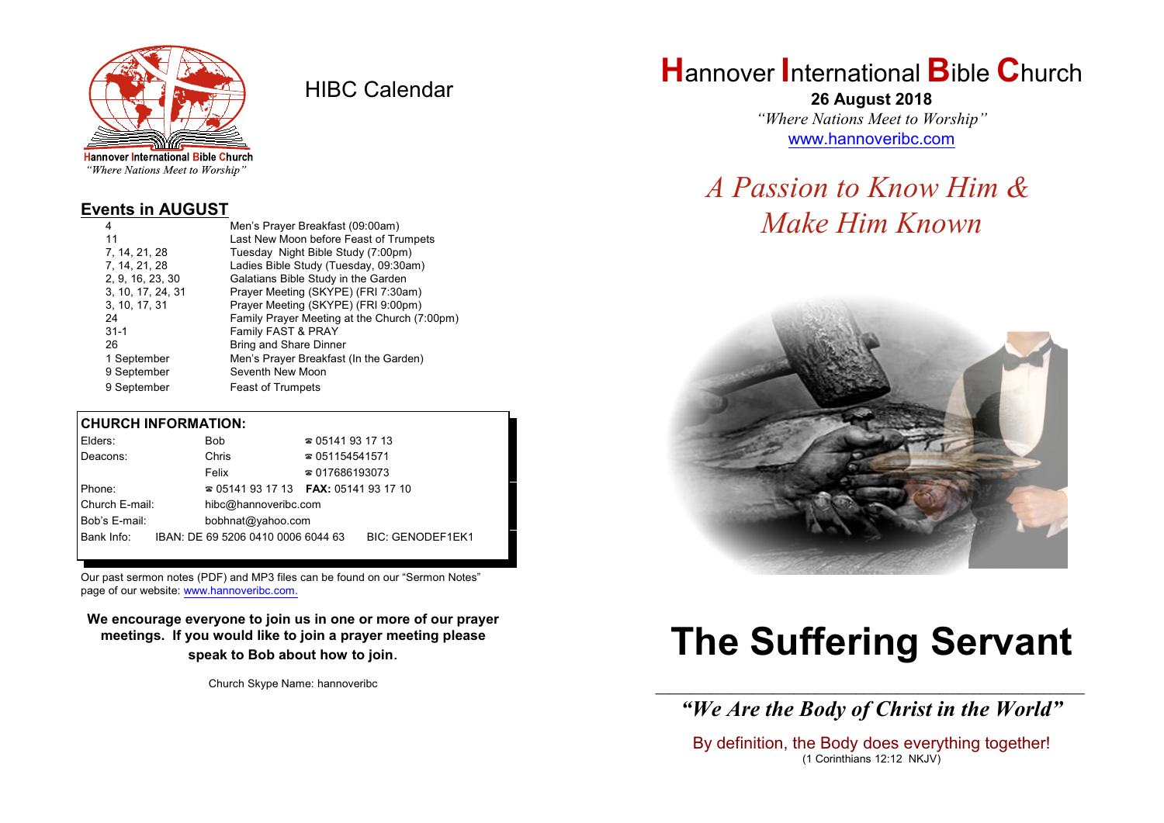

HIBC Calendar

"Where Nations Meet to Worship"

#### **Events in AUGUST**

| Men's Prayer Breakfast (09:00am)             |
|----------------------------------------------|
| Last New Moon before Feast of Trumpets       |
| Tuesday Night Bible Study (7:00pm)           |
| Ladies Bible Study (Tuesday, 09:30am)        |
| Galatians Bible Study in the Garden          |
| Prayer Meeting (SKYPE) (FRI 7:30am)          |
| Prayer Meeting (SKYPE) (FRI 9:00pm)          |
| Family Prayer Meeting at the Church (7:00pm) |
| Family FAST & PRAY                           |
| <b>Bring and Share Dinner</b>                |
| Men's Prayer Breakfast (In the Garden)       |
| Seventh New Moon                             |
| <b>Feast of Trumpets</b>                     |
|                                              |

#### **CHURCH INFORMATION:**

| Elders:        | <b>Bob</b>                               | $\approx 05141931713$  |                         |
|----------------|------------------------------------------|------------------------|-------------------------|
| Deacons:       | Chris                                    | $\approx 051154541571$ |                         |
|                | Felix                                    | $\approx 017686193073$ |                         |
| Phone:         | $\approx 05141931713$ FAX: 0514193 17 10 |                        |                         |
| Church E-mail: | hibc@hannoveribc.com                     |                        |                         |
| Bob's E-mail:  | bobhnat@yahoo.com                        |                        |                         |
| Bank Info:     | IBAN: DE 69 5206 0410 0006 6044 63       |                        | <b>BIC: GENODEF1EK1</b> |
|                |                                          |                        |                         |

Our past sermon notes (PDF) and MP3 files can be found on our "Sermon Notes" page of our website: [www.hannoveribc.com.](http://www.hannoveribc.com.)

**We encourage everyone to join us in one or more of our prayer meetings. If you would like to join a prayer meeting please speak to Bob about how to join**.

Church Skype Name: hannoveribc

# **H**annover **I**nternational **B**ible **C**hurch

**26 August 2018** *"Where Nations Meet to Worship"* [www.hannoveribc.com](http://www.hannoveribc.com)

# *A Passion to Know Him & Make Him Known*



# **The Suffering Servant**

\_\_\_\_\_\_\_\_\_\_\_\_\_\_\_\_\_\_\_\_\_\_\_\_\_\_\_\_\_\_\_\_\_\_\_\_\_\_\_\_\_\_\_\_\_\_\_\_\_\_\_\_\_\_\_\_\_\_\_\_\_\_ *"We Are the Body of Christ in the World"*

By definition, the Body does everything together! (1 Corinthians 12:12 NKJV)